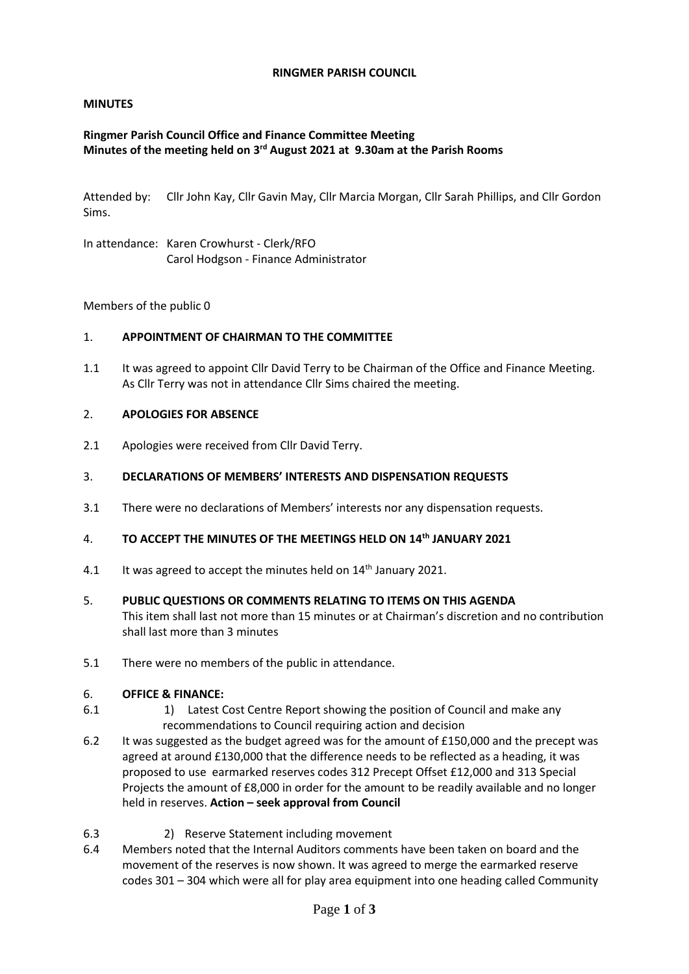### **RINGMER PARISH COUNCIL**

### **MINUTES**

### **Ringmer Parish Council Office and Finance Committee Meeting Minutes of the meeting held on 3 rd August 2021 at 9.30am at the Parish Rooms**

Attended by: Cllr John Kay, Cllr Gavin May, Cllr Marcia Morgan, Cllr Sarah Phillips, and Cllr Gordon Sims.

In attendance: Karen Crowhurst - Clerk/RFO Carol Hodgson - Finance Administrator

Members of the public 0

#### 1. **APPOINTMENT OF CHAIRMAN TO THE COMMITTEE**

1.1 It was agreed to appoint Cllr David Terry to be Chairman of the Office and Finance Meeting. As Cllr Terry was not in attendance Cllr Sims chaired the meeting.

#### 2. **APOLOGIES FOR ABSENCE**

2.1 Apologies were received from Cllr David Terry.

#### 3. **DECLARATIONS OF MEMBERS' INTERESTS AND DISPENSATION REQUESTS**

3.1 There were no declarations of Members' interests nor any dispensation requests.

#### 4. **TO ACCEPT THE MINUTES OF THE MEETINGS HELD ON 14th JANUARY 2021**

4.1 It was agreed to accept the minutes held on 14<sup>th</sup> January 2021.

#### 5. **PUBLIC QUESTIONS OR COMMENTS RELATING TO ITEMS ON THIS AGENDA**

This item shall last not more than 15 minutes or at Chairman's discretion and no contribution shall last more than 3 minutes

5.1 There were no members of the public in attendance.

#### 6. **OFFICE & FINANCE:**

- 6.1 1) Latest Cost Centre Report showing the position of Council and make any recommendations to Council requiring action and decision
- 6.2 It was suggested as the budget agreed was for the amount of £150,000 and the precept was agreed at around £130,000 that the difference needs to be reflected as a heading, it was proposed to use earmarked reserves codes 312 Precept Offset £12,000 and 313 Special Projects the amount of £8,000 in order for the amount to be readily available and no longer held in reserves. **Action – seek approval from Council**
- 6.3 2) Reserve Statement including movement
- 6.4 Members noted that the Internal Auditors comments have been taken on board and the movement of the reserves is now shown. It was agreed to merge the earmarked reserve codes 301 – 304 which were all for play area equipment into one heading called Community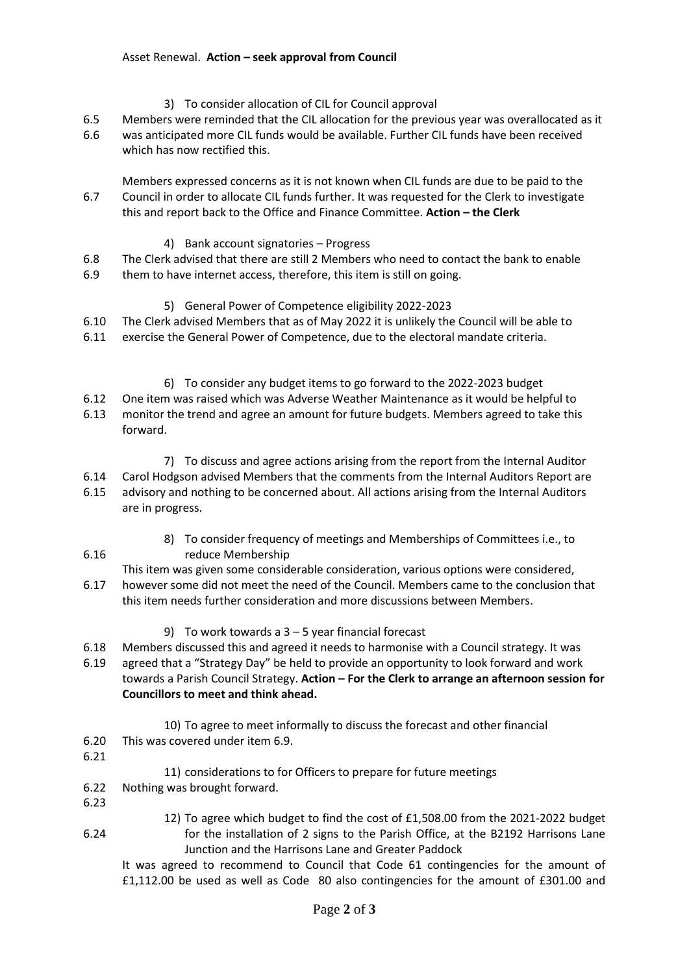- 3) To consider allocation of CIL for Council approval
- 6.5 Members were reminded that the CIL allocation for the previous year was overallocated as it
- 6.6 was anticipated more CIL funds would be available. Further CIL funds have been received which has now rectified this.

6.7 Members expressed concerns as it is not known when CIL funds are due to be paid to the Council in order to allocate CIL funds further. It was requested for the Clerk to investigate this and report back to the Office and Finance Committee. **Action – the Clerk**

- 4) Bank account signatories Progress
- 6.8 The Clerk advised that there are still 2 Members who need to contact the bank to enable
- 6.9 them to have internet access, therefore, this item is still on going.

# 5) General Power of Competence eligibility 2022-2023

- 6.10 The Clerk advised Members that as of May 2022 it is unlikely the Council will be able to
- 6.11 exercise the General Power of Competence, due to the electoral mandate criteria.
	- 6) To consider any budget items to go forward to the 2022-2023 budget
- 6.12 One item was raised which was Adverse Weather Maintenance as it would be helpful to
- 6.13 monitor the trend and agree an amount for future budgets. Members agreed to take this forward.
	- 7) To discuss and agree actions arising from the report from the Internal Auditor
- 6.14 6.15 Carol Hodgson advised Members that the comments from the Internal Auditors Report are advisory and nothing to be concerned about. All actions arising from the Internal Auditors are in progress.
	- 8) To consider frequency of meetings and Memberships of Committees i.e., to reduce Membership
- 6.17 This item was given some considerable consideration, various options were considered, however some did not meet the need of the Council. Members came to the conclusion that this item needs further consideration and more discussions between Members.
	- 9) To work towards a 3 5 year financial forecast
- 6.18 Members discussed this and agreed it needs to harmonise with a Council strategy. It was
- 6.19 agreed that a "Strategy Day" be held to provide an opportunity to look forward and work towards a Parish Council Strategy. **Action – For the Clerk to arrange an afternoon session for Councillors to meet and think ahead.**
	- 10) To agree to meet informally to discuss the forecast and other financial This was covered under item 6.9.
- 6.20 6.21

6.16

### 11) considerations to for Officers to prepare for future meetings

- 6.22 Nothing was brought forward.
- 6.23
- 6.24 12) To agree which budget to find the cost of £1,508.00 from the 2021-2022 budget for the installation of 2 signs to the Parish Office, at the B2192 Harrisons Lane Junction and the Harrisons Lane and Greater Paddock

It was agreed to recommend to Council that Code 61 contingencies for the amount of £1,112.00 be used as well as Code 80 also contingencies for the amount of £301.00 and